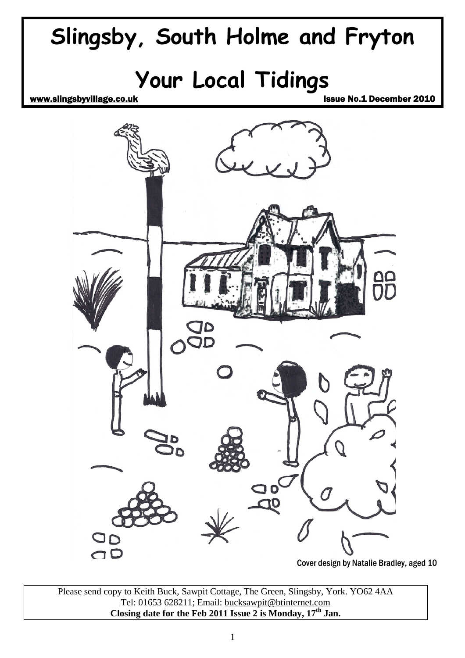

Please send copy to Keith Buck, Sawpit Cottage, The Green, Slingsby, York. YO62 4AA Tel: 01653 628211; Email: [bucksawpit@btinternet.com](mailto:bucksawpit@btinternet.com) **Closing date for the Feb 2011 Issue 2 is Monday, 17th Jan.**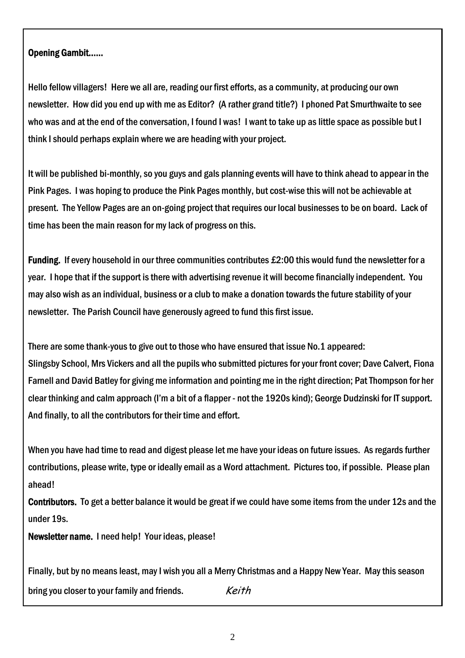#### Opening Gambit……

Hello fellow villagers! Here we all are, reading our first efforts, as a community, at producing our own newsletter. How did you end up with me as Editor? (A rather grand title?) I phoned Pat Smurthwaite to see who was and at the end of the conversation, I found I was! I want to take up as little space as possible but I think I should perhaps explain where we are heading with your project.

It will be published bi-monthly, so you guys and gals planning events will have to think ahead to appear in the Pink Pages. I was hoping to produce the Pink Pages monthly, but cost-wise this will not be achievable at present. The Yellow Pages are an on-going project that requires our local businesses to be on board. Lack of time has been the main reason for my lack of progress on this.

Funding. If every household in our three communities contributes £2:00 this would fund the newsletter for a year. I hope that if the support is there with advertising revenue it will become financially independent. You may also wish as an individual, business or a club to make a donation towards the future stability of your newsletter. The Parish Council have generously agreed to fund this first issue.

There are some thank-yous to give out to those who have ensured that issue No.1 appeared: Slingsby School, Mrs Vickers and all the pupils who submitted pictures for your front cover; Dave Calvert, Fiona Farnell and David Batley for giving me information and pointing me in the right direction; Pat Thompson for her clear thinking and calm approach (I'm a bit of a flapper - not the 1920s kind); George Dudzinski for IT support. And finally, to all the contributors for their time and effort.

When you have had time to read and digest please let me have your ideas on future issues. As regards further contributions, please write, type or ideally email as a Word attachment. Pictures too, if possible. Please plan ahead!

Contributors. To get a better balance it would be great if we could have some items from the under 12s and the under 19s.

Newsletter name. I need help! Your ideas, please!

Finally, but by no means least, may I wish you all a Merry Christmas and a Happy New Year. May this season bring you closer to your family and friends. Keith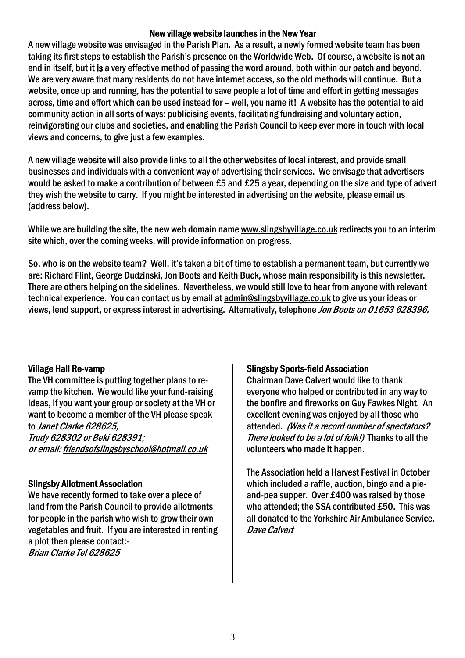#### New village website launches in the New Year

A new village website was envisaged in the Parish Plan. As a result, a newly formed website team has been taking its first steps to establish the Parish's presence on the Worldwide Web. Of course, a website is not an end in itself, but it is a very effective method of passing the word around, both within our patch and beyond. We are very aware that many residents do not have internet access, so the old methods will continue. But a website, once up and running, has the potential to save people a lot of time and effort in getting messages across, time and effort which can be used instead for – well, you name it! A website has the potential to aid community action in all sorts of ways: publicising events, facilitating fundraising and voluntary action, reinvigorating our clubs and societies, and enabling the Parish Council to keep ever more in touch with local views and concerns, to give just a few examples.

A new village website will also provide links to all the other websites of local interest, and provide small businesses and individuals with a convenient way of advertising their services. We envisage that advertisers would be asked to make a contribution of between £5 and £25 a year, depending on the size and type of advert they wish the website to carry. If you might be interested in advertising on the website, please email us (address below).

While we are building the site, the new web domain name [www.slingsbyvillage.co.uk](http://www.slingsbyvillage.co.uk/) redirects you to an interim site which, over the coming weeks, will provide information on progress.

So, who is on the website team? Well, it's taken a bit of time to establish a permanent team, but currently we are: Richard Flint, George Dudzinski, Jon Boots and Keith Buck, whose main responsibility is this newsletter. There are others helping on the sidelines. Nevertheless, we would still love to hear from anyone with relevant technical experience. You can contact us by email at [admin@slingsbyvillage.co.uk](mailto:admin@slingsbyvillage.co.uk) to give us your ideas or views, lend support, or express interest in advertising. Alternatively, telephone Jon Boots on 01653 628396.

### Village Hall Re-vamp

The VH committee is putting together plans to revamp the kitchen. We would like your fund-raising ideas, if you want your group or society at the VH or want to become a member of the VH please speak to Janet Clarke 628625, Trudy 628302 or Beki 628391; or email: [friendsofslingsbyschool@hotmail.co.uk](mailto:friendsofslingsbyschool@hotmail.co.uk)

### Slingsby Allotment Association

We have recently formed to take over a piece of land from the Parish Council to provide allotments for people in the parish who wish to grow their own vegetables and fruit. If you are interested in renting a plot then please contact:- Brian Clarke Tel 628625

### Slingsby Sports-field Association

Chairman Dave Calvert would like to thank everyone who helped or contributed in any way to the bonfire and fireworks on Guy Fawkes Night. An excellent evening was enjoyed by all those who attended. (Was it a record number of spectators? There looked to be a lot of folk!) Thanks to all the volunteers who made it happen.

The Association held a Harvest Festival in October which included a raffle, auction, bingo and a pieand-pea supper. Over £400 was raised by those who attended; the SSA contributed £50. This was all donated to the Yorkshire Air Ambulance Service. Dave Calvert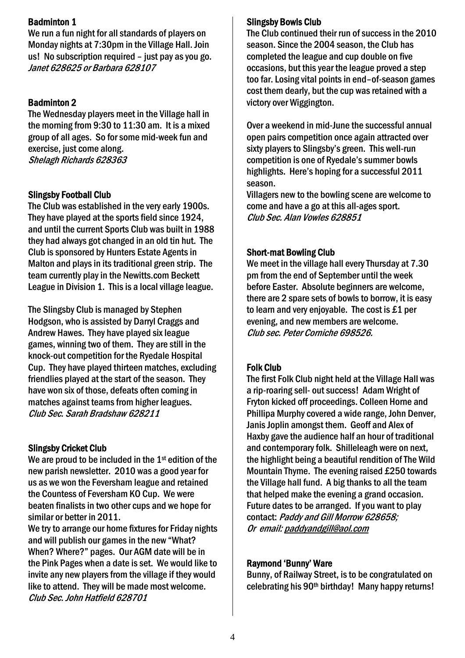## Badminton 1

We run a fun night for all standards of players on Monday nights at 7:30pm in the Village Hall. Join us! No subscription required – just pay as you go. Janet 628625 or Barbara 628107

# Badminton 2

The Wednesday players meet in the Village hall in the morning from 9:30 to 11:30 am. It is a mixed group of all ages. So for some mid-week fun and exercise, just come along. Shelagh Richards 628363

# Slingsby Football Club

The Club was established in the very early 1900s. They have played at the sports field since 1924, and until the current Sports Club was built in 1988 they had always got changed in an old tin hut. The Club is sponsored by Hunters Estate Agents in Malton and plays in its traditional green strip. The team currently play in the Newitts.com Beckett League in Division 1. This is a local village league.

The Slingsby Club is managed by Stephen Hodgson, who is assisted by Darryl Craggs and Andrew Hawes. They have played six league games, winning two of them. They are still in the knock-out competition for the Ryedale Hospital Cup. They have played thirteen matches, excluding friendlies played at the start of the season. They have won six of those, defeats often coming in matches against teams from higher leagues. Club Sec. Sarah Bradshaw 628211

### Slingsby Cricket Club

We are proud to be included in the 1<sup>st</sup> edition of the new parish newsletter. 2010 was a good year for us as we won the Feversham league and retained the Countess of Feversham KO Cup. We were beaten finalists in two other cups and we hope for similar or better in 2011.

We try to arrange our home fixtures for Friday nights and will publish our games in the new "What? When? Where?" pages. Our AGM date will be in the Pink Pages when a date is set. We would like to invite any new players from the village if they would like to attend. They will be made most welcome. Club Sec. John Hatfield 628701

## Slingsby Bowls Club

The Club continued their run of success in the 2010 season. Since the 2004 season, the Club has completed the league and cup double on five occasions, but this year the league proved a step too far. Losing vital points in end–of-season games cost them dearly, but the cup was retained with a victory over Wiggington.

Over a weekend in mid-June the successful annual open pairs competition once again attracted over sixty players to Slingsby's green. This well-run competition is one of Ryedale's summer bowls highlights. Here's hoping for a successful 2011 season.

Villagers new to the bowling scene are welcome to come and have a go at this all-ages sport. Club Sec. Alan Vowles 628851

# Short-mat Bowling Club

We meet in the village hall every Thursday at 7.30 pm from the end of September until the week before Easter. Absolute beginners are welcome, there are 2 spare sets of bowls to borrow, it is easy to learn and very enjoyable. The cost is £1 per evening, and new members are welcome. Club sec. Peter Corniche 698526.

# Folk Club

The first Folk Club night held at the Village Hall was a rip-roaring sell- out success! Adam Wright of Fryton kicked off proceedings. Colleen Horne and Phillipa Murphy covered a wide range, John Denver, Janis Joplin amongst them. Geoff and Alex of Haxby gave the audience half an hour of traditional and contemporary folk. Shilleleagh were on next, the highlight being a beautiful rendition of The Wild Mountain Thyme. The evening raised £250 towards the Village hall fund. A big thanks to all the team that helped make the evening a grand occasion. Future dates to be arranged. If you want to play contact: Paddy and Gill Morrow 628658: Or email: [paddyandgill@aol.com](mailto:paddyandgill@aol.com)

### Raymond 'Bunny' Ware

Bunny, of Railway Street, is to be congratulated on celebrating his 90th birthday! Many happy returns!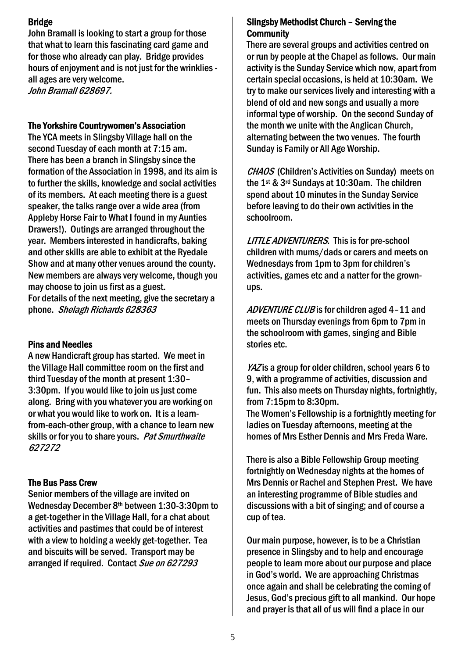# Bridge

John Bramall is looking to start a group for those that what to learn this fascinating card game and for those who already can play. Bridge provides hours of enjoyment and is not just for the wrinklies all ages are very welcome. John Bramall 628697.

#### The Yorkshire Countrywomen's Association

The YCA meets in Slingsby Village hall on the second Tuesday of each month at 7:15 am. There has been a branch in Slingsby since the formation of the Association in 1998, and its aim is to further the skills, knowledge and social activities of its members. At each meeting there is a guest speaker, the talks range over a wide area (from Appleby Horse Fair to What I found in my Aunties Drawers!). Outings are arranged throughout the year. Members interested in handicrafts, baking and other skills are able to exhibit at the Ryedale Show and at many other venues around the county. New members are always very welcome, though you may choose to join us first as a guest. For details of the next meeting, give the secretary a phone. Shelagh Richards 628363

### Pins and Needles

A new Handicraft group has started. We meet in the Village Hall committee room on the first and third Tuesday of the month at present 1:30– 3:30pm. If you would like to join us just come along. Bring with you whatever you are working on or what you would like to work on. It is a learnfrom-each-other group, with a chance to learn new skills or for you to share yours. Pat Smurthwaite 627272

### The Bus Pass Crew

Senior members of the village are invited on Wednesday December 8th between 1:30-3:30pm to a get-together in the Village Hall, for a chat about activities and pastimes that could be of interest with a view to holding a weekly get-together. Tea and biscuits will be served. Transport may be arranged if required. Contact Sue on 627293

# Slingsby Methodist Church – Serving the **Community**

There are several groups and activities centred on or run by people at the Chapel as follows. Our main activity is the Sunday Service which now, apart from certain special occasions, is held at 10:30am. We try to make our services lively and interesting with a blend of old and new songs and usually a more informal type of worship. On the second Sunday of the month we unite with the Anglican Church, alternating between the two venues. The fourth Sunday is Family or All Age Worship.

CHAOS (Children's Activities on Sunday) meets on the 1st & 3rd Sundays at 10:30am. The children spend about 10 minutes in the Sunday Service before leaving to do their own activities in the schoolroom.

LITTLE ADVENTURERS. This is for pre-school children with mums/dads or carers and meets on Wednesdays from 1pm to 3pm for children's activities, games etc and a natter for the grownups.

ADVENTURE CLUB is for children aged 4-11 and meets on Thursday evenings from 6pm to 7pm in the schoolroom with games, singing and Bible stories etc.

YAZ is a group for older children, school years 6 to 9, with a programme of activities, discussion and fun. This also meets on Thursday nights, fortnightly, from 7:15pm to 8:30pm.

The Women's Fellowship is a fortnightly meeting for ladies on Tuesday afternoons, meeting at the homes of Mrs Esther Dennis and Mrs Freda Ware.

There is also a Bible Fellowship Group meeting fortnightly on Wednesday nights at the homes of Mrs Dennis or Rachel and Stephen Prest. We have an interesting programme of Bible studies and discussions with a bit of singing; and of course a cup of tea.

Our main purpose, however, is to be a Christian presence in Slingsby and to help and encourage people to learn more about our purpose and place in God's world. We are approaching Christmas once again and shall be celebrating the coming of Jesus, God's precious gift to all mankind. Our hope and prayer is that all of us will find a place in our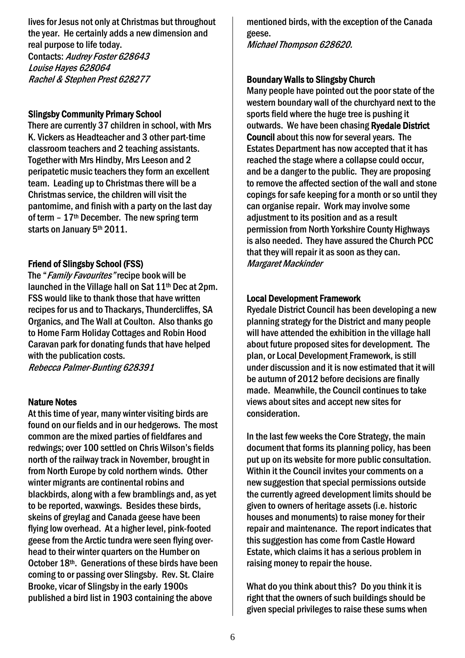lives for Jesus not only at Christmas but throughout the year. He certainly adds a new dimension and real purpose to life today. Contacts: Audrey Foster 628643 Louise Hayes 628064 Rachel & Stephen Prest 628277

#### Slingsby Community Primary School

There are currently 37 children in school, with Mrs K. Vickers as Headteacher and 3 other part-time classroom teachers and 2 teaching assistants. Together with Mrs Hindby, Mrs Leeson and 2 peripatetic music teachers they form an excellent team. Leading up to Christmas there will be a Christmas service, the children will visit the pantomime, and finish with a party on the last day of term  $-17$ <sup>th</sup> December. The new spring term starts on January 5th 2011.

## Friend of Slingsby School (FSS)

The "*Family Favourites*" recipe book will be launched in the Village hall on Sat 11<sup>th</sup> Dec at 2pm. FSS would like to thank those that have written recipes for us and to Thackarys, Thundercliffes, SA Organics, and The Wall at Coulton. Also thanks go to Home Farm Holiday Cottages and Robin Hood Caravan park for donating funds that have helped with the publication costs.

Rebecca Palmer-Bunting 628391

#### Nature Notes

At this time of year, many winter visiting birds are found on our fields and in our hedgerows. The most common are the mixed parties of fieldfares and redwings; over 100 settled on Chris Wilson's fields north of the railway track in November, brought in from North Europe by cold northern winds. Other winter migrants are continental robins and blackbirds, along with a few bramblings and, as yet to be reported, waxwings. Besides these birds, skeins of greylag and Canada geese have been flying low overhead. At a higher level, pink-footed geese from the Arctic tundra were seen flying overhead to their winter quarters on the Humber on October 18th. Generations of these birds have been coming to or passing over Slingsby. Rev. St. Claire Brooke, vicar of Slingsby in the early 1900s published a bird list in 1903 containing the above

mentioned birds, with the exception of the Canada geese. Michael Thompson 628620.

#### Boundary Walls to Slingsby Church

Many people have pointed out the poor state of the western boundary wall of the churchyard next to the sports field where the huge tree is pushing it outwards. We have been chasing Ryedale District Council about this now for several years. The Estates Department has now accepted that it has reached the stage where a collapse could occur, and be a danger to the public. They are proposing to remove the affected section of the wall and stone copings for safe keeping for a month or so until they can organise repair. Work may involve some adjustment to its position and as a result permission from North Yorkshire County Highways is also needed. They have assured the Church PCC that they will repair it as soon as they can. Margaret Mackinder

#### Local Development Framework

Ryedale District Council has been developing a new planning strategy for the District and many people will have attended the exhibition in the village hall about future proposed sites for development. The plan, or Local Development Framework, is still under discussion and it is now estimated that it will be autumn of 2012 before decisions are finally made. Meanwhile, the Council continues to take views about sites and accept new sites for consideration.

In the last few weeks the Core Strategy, the main document that forms its planning policy, has been put up on its website for more public consultation. Within it the Council invites your comments on a new suggestion that special permissions outside the currently agreed development limits should be given to owners of heritage assets (i.e. historic houses and monuments) to raise money for their repair and maintenance. The report indicates that this suggestion has come from Castle Howard Estate, which claims it has a serious problem in raising money to repair the house.

What do you think about this? Do you think it is right that the owners of such buildings should be given special privileges to raise these sums when